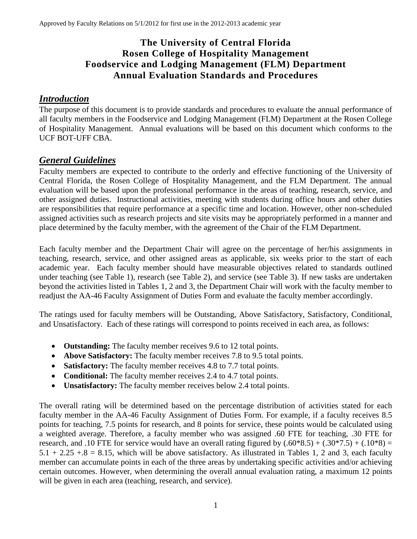# **The University of Central Florida Rosen College of Hospitality Management Foodservice and Lodging Management (FLM) Department Annual Evaluation Standards and Procedures**

## *Introduction*

The purpose of this document is to provide standards and procedures to evaluate the annual performance of all faculty members in the Foodservice and Lodging Management (FLM) Department at the Rosen College of Hospitality Management. Annual evaluations will be based on this document which conforms to the UCF BOT-UFF CBA.

### *General Guidelines*

Faculty members are expected to contribute to the orderly and effective functioning of the University of Central Florida, the Rosen College of Hospitality Management, and the FLM Department. The annual evaluation will be based upon the professional performance in the areas of teaching, research, service, and other assigned duties. Instructional activities, meeting with students during office hours and other duties are responsibilities that require performance at a specific time and location. However, other non-scheduled assigned activities such as research projects and site visits may be appropriately performed in a manner and place determined by the faculty member, with the agreement of the Chair of the FLM Department.

Each faculty member and the Department Chair will agree on the percentage of her/his assignments in teaching, research, service, and other assigned areas as applicable, six weeks prior to the start of each academic year. Each faculty member should have measurable objectives related to standards outlined under teaching (see Table 1), research (see Table 2), and service (see Table 3). If new tasks are undertaken beyond the activities listed in Tables 1, 2 and 3, the Department Chair will work with the faculty member to readjust the AA-46 Faculty Assignment of Duties Form and evaluate the faculty member accordingly.

The ratings used for faculty members will be Outstanding, Above Satisfactory, Satisfactory, Conditional, and Unsatisfactory. Each of these ratings will correspond to points received in each area, as follows:

- **Outstanding:** The faculty member receives 9.6 to 12 total points.
- **Above Satisfactory:** The faculty member receives 7.8 to 9.5 total points.
- **Satisfactory:** The faculty member receives 4.8 to 7.7 total points.
- **Conditional:** The faculty member receives 2.4 to 4.7 total points.
- **Unsatisfactory:** The faculty member receives below 2.4 total points.

The overall rating will be determined based on the percentage distribution of activities stated for each faculty member in the AA-46 Faculty Assignment of Duties Form. For example, if a faculty receives 8.5 points for teaching, 7.5 points for research, and 8 points for service, these points would be calculated using a weighted average. Therefore, a faculty member who was assigned .60 FTE for teaching, .30 FTE for research, and .10 FTE for service would have an overall rating figured by  $(.60*8.5) + (.30*7.5) + (.10*8) =$  $5.1 + 2.25 + 0.8 = 8.15$ , which will be above satisfactory. As illustrated in Tables 1, 2 and 3, each faculty member can accumulate points in each of the three areas by undertaking specific activities and/or achieving certain outcomes. However, when determining the overall annual evaluation rating, a maximum 12 points will be given in each area (teaching, research, and service).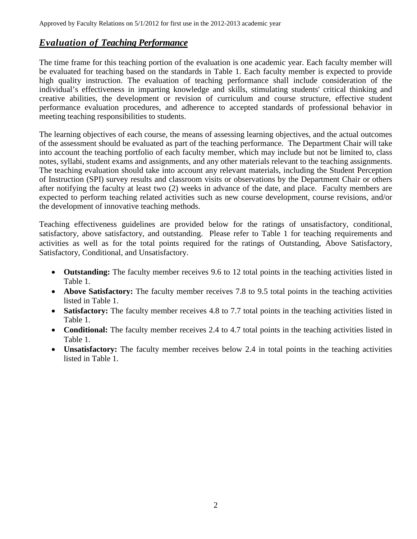#### *Evaluation of Teaching Performance*

The time frame for this teaching portion of the evaluation is one academic year. Each faculty member will be evaluated for teaching based on the standards in Table 1. Each faculty member is expected to provide high quality instruction. The evaluation of teaching performance shall include consideration of the individual's effectiveness in imparting knowledge and skills, stimulating students' critical thinking and creative abilities, the development or revision of curriculum and course structure, effective student performance evaluation procedures, and adherence to accepted standards of professional behavior in meeting teaching responsibilities to students.

The learning objectives of each course, the means of assessing learning objectives, and the actual outcomes of the assessment should be evaluated as part of the teaching performance. The Department Chair will take into account the teaching portfolio of each faculty member, which may include but not be limited to, class notes, syllabi, student exams and assignments, and any other materials relevant to the teaching assignments. The teaching evaluation should take into account any relevant materials, including the Student Perception of Instruction (SPI) survey results and classroom visits or observations by the Department Chair or others after notifying the faculty at least two (2) weeks in advance of the date, and place. Faculty members are expected to perform teaching related activities such as new course development, course revisions, and/or the development of innovative teaching methods.

Teaching effectiveness guidelines are provided below for the ratings of unsatisfactory, conditional, satisfactory, above satisfactory, and outstanding. Please refer to Table 1 for teaching requirements and activities as well as for the total points required for the ratings of Outstanding, Above Satisfactory, Satisfactory, Conditional, and Unsatisfactory.

- **Outstanding:** The faculty member receives 9.6 to 12 total points in the teaching activities listed in Table 1.
- **Above Satisfactory:** The faculty member receives 7.8 to 9.5 total points in the teaching activities listed in Table 1.
- **Satisfactory:** The faculty member receives 4.8 to 7.7 total points in the teaching activities listed in Table 1.
- **Conditional:** The faculty member receives 2.4 to 4.7 total points in the teaching activities listed in Table 1.
- **Unsatisfactory:** The faculty member receives below 2.4 in total points in the teaching activities listed in Table 1.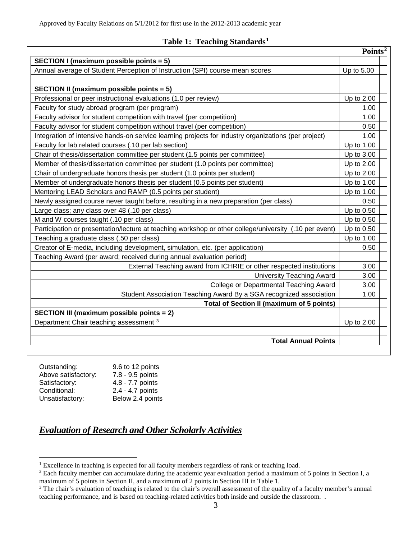|                                                                                                        | Points <sup>2</sup> |
|--------------------------------------------------------------------------------------------------------|---------------------|
| SECTION I (maximum possible points = 5)                                                                |                     |
| Annual average of Student Perception of Instruction (SPI) course mean scores                           | Up to 5.00          |
|                                                                                                        |                     |
| <b>SECTION II (maximum possible points = 5)</b>                                                        |                     |
| Professional or peer instructional evaluations (1.0 per review)                                        | Up to 2.00          |
| Faculty for study abroad program (per program)                                                         | 1.00                |
| Faculty advisor for student competition with travel (per competition)                                  | 1.00                |
| Faculty advisor for student competition without travel (per competition)                               | 0.50                |
| Integration of intensive hands-on service learning projects for industry organizations (per project)   | 1.00                |
| Faculty for lab related courses (.10 per lab section)                                                  | Up to 1.00          |
| Chair of thesis/dissertation committee per student (1.5 points per committee)                          | Up to 3.00          |
| Member of thesis/dissertation committee per student (1.0 points per committee)                         | Up to 2.00          |
| Chair of undergraduate honors thesis per student (1.0 points per student)                              | Up to 2.00          |
| Member of undergraduate honors thesis per student (0.5 points per student)                             | Up to 1.00          |
| Mentoring LEAD Scholars and RAMP (0.5 points per student)                                              | Up to 1.00          |
| Newly assigned course never taught before, resulting in a new preparation (per class)                  | 0.50                |
| Large class; any class over 48 (.10 per class)                                                         | Up to 0.50          |
| M and W courses taught (.10 per class)                                                                 | Up to 0.50          |
| Participation or presentation/lecture at teaching workshop or other college/university (.10 per event) | Up to 0.50          |
| Teaching a graduate class (.50 per class)                                                              | Up to 1.00          |
| Creator of E-media, including development, simulation, etc. (per application)                          | 0.50                |
| Teaching Award (per award; received during annual evaluation period)                                   |                     |
| External Teaching award from ICHRIE or other respected institutions                                    | 3.00                |
| <b>University Teaching Award</b>                                                                       | 3.00                |
| <b>College or Departmental Teaching Award</b>                                                          | 3.00                |
| Student Association Teaching Award By a SGA recognized association                                     | 1.00                |
| <b>Total of Section II (maximum of 5 points)</b>                                                       |                     |
| <b>SECTION III (maximum possible points = 2)</b>                                                       |                     |
| Department Chair teaching assessment 3                                                                 | Up to 2.00          |
|                                                                                                        |                     |
| <b>Total Annual Points</b>                                                                             |                     |

| Outstanding:        | 9.6 to 12 points |
|---------------------|------------------|
| Above satisfactory: | 7.8 - 9.5 points |
| Satisfactory:       | 4.8 - 7.7 points |
| Conditional:        | 2.4 - 4.7 points |
| Unsatisfactory:     | Below 2.4 points |

# *Evaluation of Research and Other Scholarly Activities*

<span id="page-2-0"></span><sup>&</sup>lt;sup>1</sup> Excellence in teaching is expected for all faculty members regardless of rank or teaching load.

<span id="page-2-1"></span><sup>&</sup>lt;sup>2</sup> Each faculty member can accumulate during the academic year evaluation period a maximum of 5 points in Section I, a maximum of 5 points in Section II, and a maximum of 2 points in Section III in Table 1.

<span id="page-2-2"></span><sup>&</sup>lt;sup>3</sup> The chair's evaluation of teaching is related to the chair's overall assessment of the quality of a faculty member's annual teaching performance, and is based on teaching-related activities both inside and outside the classroom. .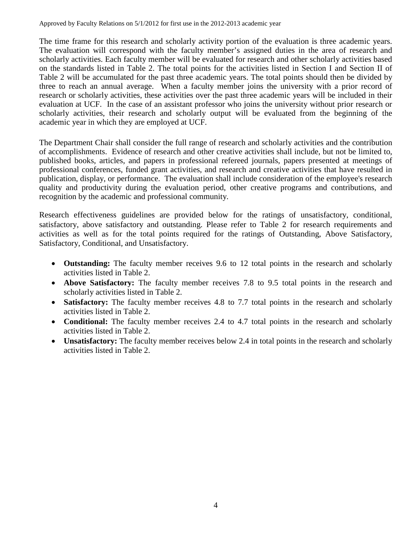Approved by Faculty Relations on 5/1/2012 for first use in the 2012-2013 academic year

The time frame for this research and scholarly activity portion of the evaluation is three academic years. The evaluation will correspond with the faculty member's assigned duties in the area of research and scholarly activities. Each faculty member will be evaluated for research and other scholarly activities based on the standards listed in Table 2. The total points for the activities listed in Section I and Section II of Table 2 will be accumulated for the past three academic years. The total points should then be divided by three to reach an annual average. When a faculty member joins the university with a prior record of research or scholarly activities, these activities over the past three academic years will be included in their evaluation at UCF. In the case of an assistant professor who joins the university without prior research or scholarly activities, their research and scholarly output will be evaluated from the beginning of the academic year in which they are employed at UCF.

The Department Chair shall consider the full range of research and scholarly activities and the contribution of accomplishments. Evidence of research and other creative activities shall include, but not be limited to, published books, articles, and papers in professional refereed journals, papers presented at meetings of professional conferences, funded grant activities, and research and creative activities that have resulted in publication, display, or performance. The evaluation shall include consideration of the employee's research quality and productivity during the evaluation period, other creative programs and contributions, and recognition by the academic and professional community.

Research effectiveness guidelines are provided below for the ratings of unsatisfactory, conditional, satisfactory, above satisfactory and outstanding. Please refer to Table 2 for research requirements and activities as well as for the total points required for the ratings of Outstanding, Above Satisfactory, Satisfactory, Conditional, and Unsatisfactory.

- **Outstanding:** The faculty member receives 9.6 to 12 total points in the research and scholarly activities listed in Table 2.
- **Above Satisfactory:** The faculty member receives 7.8 to 9.5 total points in the research and scholarly activities listed in Table 2.
- **Satisfactory:** The faculty member receives 4.8 to 7.7 total points in the research and scholarly activities listed in Table 2.
- **Conditional:** The faculty member receives 2.4 to 4.7 total points in the research and scholarly activities listed in Table 2.
- **Unsatisfactory:** The faculty member receives below 2.4 in total points in the research and scholarly activities listed in Table 2.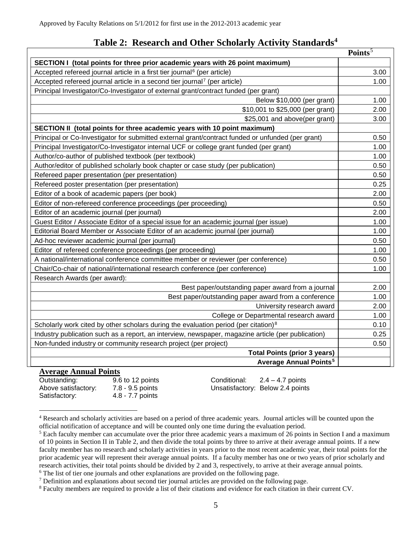## **Table 2: Research and Other Scholarly Activity Standards[4](#page-4-0)**

|                                                                                                    | Points <sup>5</sup> |
|----------------------------------------------------------------------------------------------------|---------------------|
| SECTION I (total points for three prior academic years with 26 point maximum)                      |                     |
| Accepted refereed journal article in a first tier journal <sup>6</sup> (per article)               | 3.00                |
| Accepted refereed journal article in a second tier journal <sup>7</sup> (per article)              | 1.00                |
| Principal Investigator/Co-Investigator of external grant/contract funded (per grant)               |                     |
| Below \$10,000 (per grant)                                                                         | 1.00                |
| \$10,001 to \$25,000 (per grant)                                                                   | 2.00                |
| \$25,001 and above(per grant)                                                                      | 3.00                |
| SECTION II (total points for three academic years with 10 point maximum)                           |                     |
| Principal or Co-Investigator for submitted external grant/contract funded or unfunded (per grant)  | 0.50                |
| Principal Investigator/Co-Investigator internal UCF or college grant funded (per grant)            | 1.00                |
| Author/co-author of published textbook (per textbook)                                              | 1.00                |
| Author/editor of published scholarly book chapter or case study (per publication)                  | 0.50                |
| Refereed paper presentation (per presentation)                                                     | 0.50                |
| Refereed poster presentation (per presentation)                                                    | 0.25                |
| Editor of a book of academic papers (per book)                                                     | 2.00                |
| Editor of non-refereed conference proceedings (per proceeding)                                     | 0.50                |
| Editor of an academic journal (per journal)                                                        | 2.00                |
| Guest Editor / Associate Editor of a special issue for an academic journal (per issue)             | 1.00                |
| Editorial Board Member or Associate Editor of an academic journal (per journal)                    | 1.00                |
| Ad-hoc reviewer academic journal (per journal)                                                     | 0.50                |
| Editor of refereed conference proceedings (per proceeding)                                         | 1.00                |
| A national/international conference committee member or reviewer (per conference)                  | 0.50                |
| Chair/Co-chair of national/international research conference (per conference)                      | 1.00                |
| Research Awards (per award):                                                                       |                     |
| Best paper/outstanding paper award from a journal                                                  | 2.00                |
| Best paper/outstanding paper award from a conference                                               | 1.00                |
| University research award                                                                          | 2.00                |
| College or Departmental research award                                                             | 1.00                |
| Scholarly work cited by other scholars during the evaluation period (per citation) $8$             | 0.10                |
| Industry publication such as a report, an interview, newspaper, magazine article (per publication) | 0.25                |
| Non-funded industry or community research project (per project)                                    | 0.50                |
| <b>Total Points (prior 3 years)</b>                                                                |                     |
| <b>Average Annual Points<sup>5</sup></b>                                                           |                     |
| <b>Average Annual Points</b>                                                                       |                     |

Satisfactory: 4.8 - 7.7 points

Outstanding: 9.6 to 12 points Conditional: 2.4 – 4.7 points Above satisfactory: 7.8 - 9.5 points Unsatisfactory: Below 2.4 points

<span id="page-4-0"></span> <sup>4</sup> Research and scholarly activities are based on a period of three academic years. Journal articles will be counted upon the official notification of acceptance and will be counted only one time during the evaluation period.

<span id="page-4-1"></span><sup>&</sup>lt;sup>5</sup> Each faculty member can accumulate over the prior three academic years a maximum of 26 points in Section I and a maximum of 10 points in Section II in Table 2, and then divide the total points by three to arrive at their average annual points. If a new faculty member has no research and scholarly activities in years prior to the most recent academic year, their total points for the prior academic year will represent their average annual points. If a faculty member has one or two years of prior scholarly and research activities, their total points should be divided by 2 and 3, respectively, to arrive at their average annual points.<br><sup>6</sup> The list of tier one journals and other explanations are provided on the following page.

<span id="page-4-3"></span><span id="page-4-2"></span><sup>7</sup> Definition and explanations about second tier journal articles are provided on the following page.

<span id="page-4-5"></span><span id="page-4-4"></span><sup>&</sup>lt;sup>8</sup> Faculty members are required to provide a list of their citations and evidence for each citation in their current CV.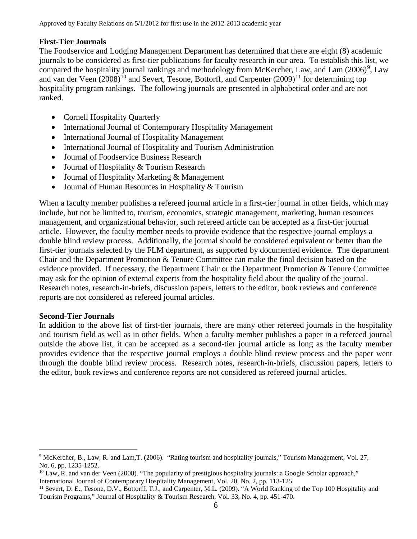#### **First-Tier Journals**

The Foodservice and Lodging Management Department has determined that there are eight (8) academic journals to be considered as first-tier publications for faculty research in our area. To establish this list, we compared the hospitality journal rankings and methodology from McKercher, Law, and Lam  $(2006)^9$  $(2006)^9$ , Law and van der Veen  $(2008)^{10}$  $(2008)^{10}$  $(2008)^{10}$  and Severt, Tesone, Bottorff, and Carpenter  $(2009)^{11}$  $(2009)^{11}$  $(2009)^{11}$  for determining top hospitality program rankings. The following journals are presented in alphabetical order and are not ranked.

- Cornell Hospitality Quarterly
- International Journal of Contemporary Hospitality Management
- International Journal of Hospitality Management
- International Journal of Hospitality and Tourism Administration
- Journal of Foodservice Business Research
- Journal of Hospitality & Tourism Research
- Journal of Hospitality Marketing & Management
- Journal of Human Resources in Hospitality & Tourism

When a faculty member publishes a refereed journal article in a first-tier journal in other fields, which may include, but not be limited to, tourism, economics, strategic management, marketing, human resources management, and organizational behavior, such refereed article can be accepted as a first-tier journal article. However, the faculty member needs to provide evidence that the respective journal employs a double blind review process. Additionally, the journal should be considered equivalent or better than the first-tier journals selected by the FLM department, as supported by documented evidence. The department Chair and the Department Promotion & Tenure Committee can make the final decision based on the evidence provided. If necessary, the Department Chair or the Department Promotion & Tenure Committee may ask for the opinion of external experts from the hospitality field about the quality of the journal. Research notes, research-in-briefs, discussion papers, letters to the editor, book reviews and conference reports are not considered as refereed journal articles.

#### **Second-Tier Journals**

In addition to the above list of first-tier journals, there are many other refereed journals in the hospitality and tourism field as well as in other fields. When a faculty member publishes a paper in a refereed journal outside the above list, it can be accepted as a second-tier journal article as long as the faculty member provides evidence that the respective journal employs a double blind review process and the paper went through the double blind review process. Research notes, research-in-briefs, discussion papers, letters to the editor, book reviews and conference reports are not considered as refereed journal articles.

<span id="page-5-0"></span> <sup>9</sup> McKercher, B., Law, R. and Lam,T. (2006). "Rating tourism and hospitality journals," Tourism Management, Vol. 27, No. 6, pp. 1235-1252.

<span id="page-5-1"></span><sup>&</sup>lt;sup>10</sup> Law, R. and van der Veen (2008). "The popularity of prestigious hospitality journals: a Google Scholar approach," International Journal of Contemporary Hospitality Management, Vol. 20, No. 2, pp. 113-125.

<span id="page-5-2"></span><sup>&</sup>lt;sup>11</sup> Severt, D. E., Tesone, D.V., Bottorff, T.J., and Carpenter, M.L. (2009). "A World Ranking of the Top 100 Hospitality and Tourism Programs," Journal of Hospitality & Tourism Research, Vol. 33, No. 4, pp. 451-470.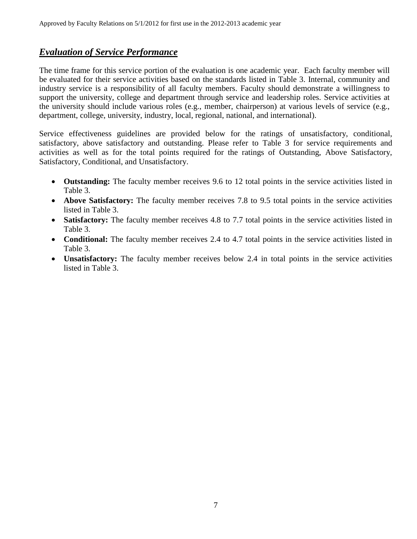### *Evaluation of Service Performance*

The time frame for this service portion of the evaluation is one academic year. Each faculty member will be evaluated for their service activities based on the standards listed in Table 3. Internal, community and industry service is a responsibility of all faculty members. Faculty should demonstrate a willingness to support the university, college and department through service and leadership roles. Service activities at the university should include various roles (e.g., member, chairperson) at various levels of service (e.g., department, college, university, industry, local, regional, national, and international).

Service effectiveness guidelines are provided below for the ratings of unsatisfactory, conditional, satisfactory, above satisfactory and outstanding. Please refer to Table 3 for service requirements and activities as well as for the total points required for the ratings of Outstanding, Above Satisfactory, Satisfactory, Conditional, and Unsatisfactory.

- **Outstanding:** The faculty member receives 9.6 to 12 total points in the service activities listed in Table 3.
- **Above Satisfactory:** The faculty member receives 7.8 to 9.5 total points in the service activities listed in Table 3.
- **Satisfactory:** The faculty member receives 4.8 to 7.7 total points in the service activities listed in Table 3.
- **Conditional:** The faculty member receives 2.4 to 4.7 total points in the service activities listed in Table 3.
- **Unsatisfactory:** The faculty member receives below 2.4 in total points in the service activities listed in Table 3.